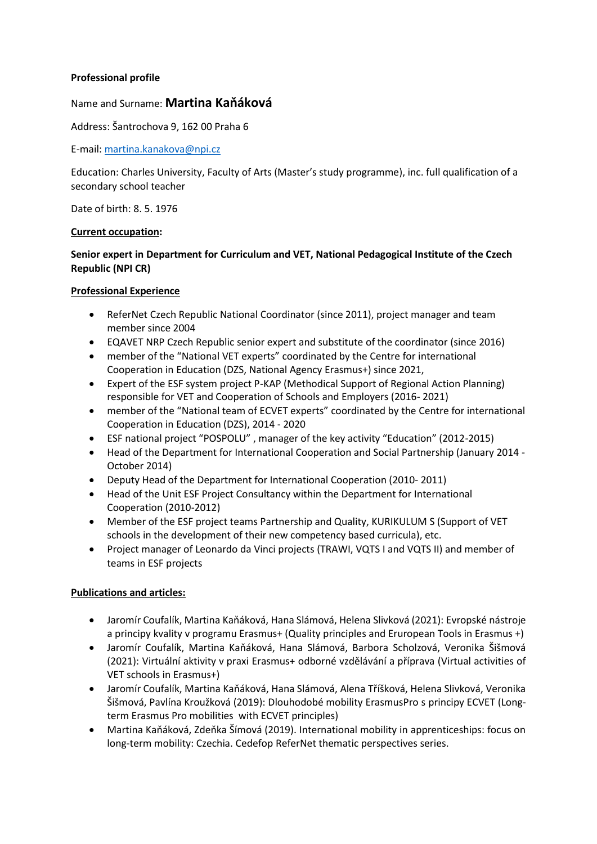## **Professional profile**

# Name and Surname: **Martina Kaňáková**

Address: Šantrochova 9, 162 00 Praha 6

E-mail: [martina.kanakova@npi.cz](mailto:martina.kanakova@npi.cz)

Education: Charles University, Faculty of Arts (Master's study programme), inc. full qualification of a secondary school teacher

Date of birth: 8. 5. 1976

## **Current occupation:**

# **Senior expert in Department for Curriculum and VET, National Pedagogical Institute of the Czech Republic (NPI CR)**

## **Professional Experience**

- ReferNet Czech Republic National Coordinator (since 2011), project manager and team member since 2004
- EQAVET NRP Czech Republic senior expert and substitute of the coordinator (since 2016)
- member of the "National VET experts" coordinated by the Centre for international Cooperation in Education (DZS, National Agency Erasmus+) since 2021,
- Expert of the ESF system project P-KAP (Methodical Support of Regional Action Planning) responsible for VET and Cooperation of Schools and Employers (2016- 2021)
- member of the "National team of ECVET experts" coordinated by the Centre for international Cooperation in Education (DZS), 2014 - 2020
- ESF national project "POSPOLU" , manager of the key activity "Education" (2012-2015)
- Head of the Department for International Cooperation and Social Partnership (January 2014 October 2014)
- Deputy Head of the Department for International Cooperation (2010- 2011)
- Head of the Unit ESF Project Consultancy within the Department for International Cooperation (2010-2012)
- Member of the ESF project teams Partnership and Quality, KURIKULUM S (Support of VET schools in the development of their new competency based curricula), etc.
- Project manager of Leonardo da Vinci projects (TRAWI, VQTS I and VQTS II) and member of teams in ESF projects

#### **Publications and articles:**

- Jaromír Coufalík, Martina Kaňáková, Hana Slámová, Helena Slivková (2021): Evropské nástroje a principy kvality v programu Erasmus+ (Quality principles and Eruropean Tools in Erasmus +)
- Jaromír Coufalík, Martina Kaňáková, Hana Slámová, Barbora Scholzová, Veronika Šišmová (2021): Virtuální aktivity v praxi Erasmus+ odborné vzdělávání a příprava (Virtual activities of VET schools in Erasmus+)
- Jaromír Coufalík, Martina Kaňáková, Hana Slámová, Alena Tříšková, Helena Slivková, Veronika Šišmová, Pavlína Kroužková (2019): Dlouhodobé mobility ErasmusPro s principy ECVET (Longterm Erasmus Pro mobilities with ECVET principles)
- Martina Kaňáková, Zdeňka Šímová (2019). International mobility in apprenticeships: focus on long-term mobility: Czechia. Cedefop ReferNet thematic perspectives series.